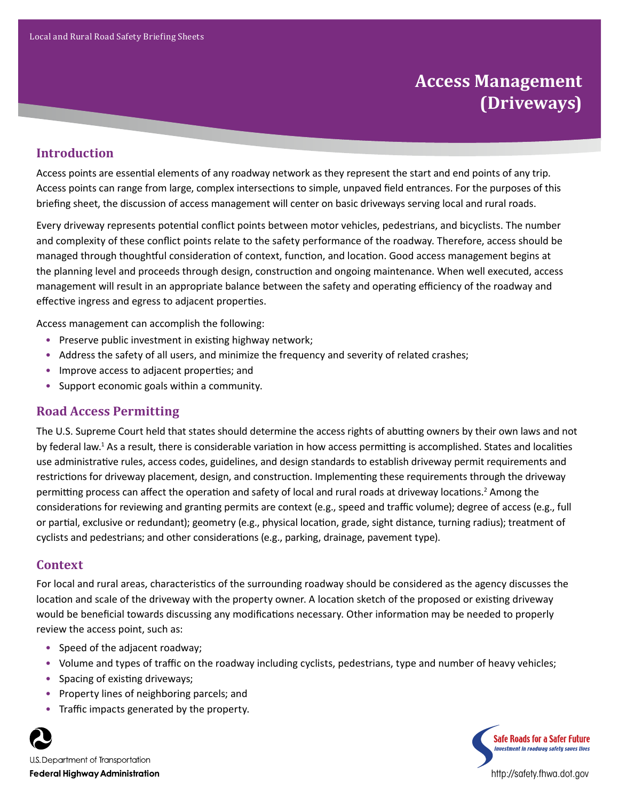# **Access Management (Driveways)**

### **Introduction**

Access points are essential elements of any roadway network as they represent the start and end points of any trip. Access points can range from large, complex intersections to simple, unpaved field entrances. For the purposes of this briefing sheet, the discussion of access management will center on basic driveways serving local and rural roads.

Every driveway represents potential conflict points between motor vehicles, pedestrians, and bicyclists. The number and complexity of these conflict points relate to the safety performance of the roadway. Therefore, access should be managed through thoughtful consideration of context, function, and location. Good access management begins at the planning level and proceeds through design, construction and ongoing maintenance. When well executed, access management will result in an appropriate balance between the safety and operating efficiency of the roadway and effective ingress and egress to adjacent properties.

Access management can accomplish the following:

- Preserve public investment in existing highway network;
- Address the safety of all users, and minimize the frequency and severity of related crashes;
- Improve access to adjacent properties; and
- Support economic goals within a community.

#### **Road Access Permitting**

The U.S. Supreme Court held that states should determine the access rights of abutting owners by their own laws and not by federal law.<sup>1</sup> As a result, there is considerable variation in how access permitting is accomplished. States and localities use administrative rules, access codes, guidelines, and design standards to establish driveway permit requirements and restrictions for driveway placement, design, and construction. Implementing these requirements through the driveway permitting process can affect the operation and safety of local and rural roads at driveway locations.<sup>2</sup> Among the considerations for reviewing and granting permits are context (e.g., speed and traffic volume); degree of access (e.g., full or partial, exclusive or redundant); geometry (e.g., physical location, grade, sight distance, turning radius); treatment of cyclists and pedestrians; and other considerations (e.g., parking, drainage, pavement type).

#### **Context**

For local and rural areas, characteristics of the surrounding roadway should be considered as the agency discusses the location and scale of the driveway with the property owner. A location sketch of the proposed or existing driveway would be beneficial towards discussing any modifications necessary. Other information may be needed to properly review the access point, such as:

- Speed of the adjacent roadway;
- Volume and types of traffic on the roadway including cyclists, pedestrians, type and number of heavy vehicles;
- Spacing of existing driveways;
- Property lines of neighboring parcels; and
- Traffic impacts generated by the property.



U.S. Department of Transportation **Federal Highway Administration** 



http://safety.fhwa.dot.gov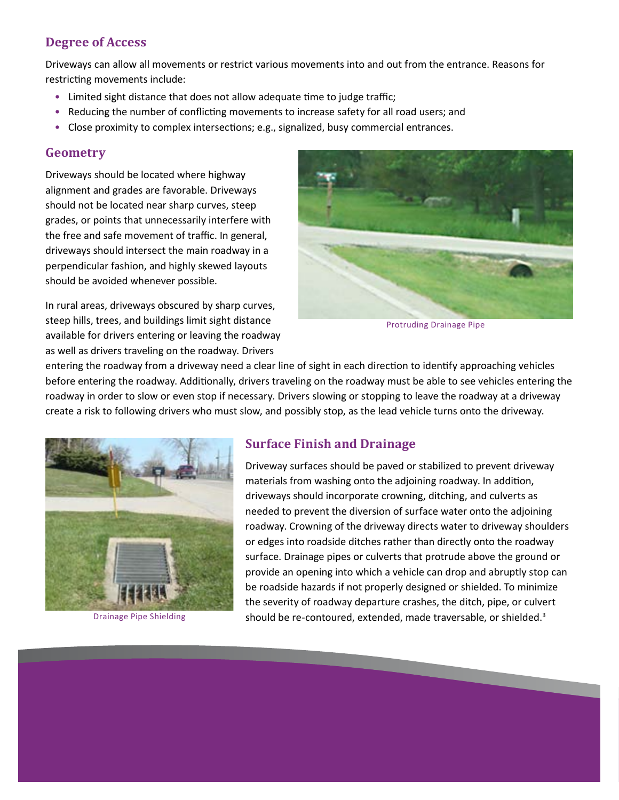## **Degree of Access**

Driveways can allow all movements or restrict various movements into and out from the entrance. Reasons for restricting movements include:

- Limited sight distance that does not allow adequate time to judge traffic;
- Reducing the number of conflicting movements to increase safety for all road users; and
- Close proximity to complex intersections; e.g., signalized, busy commercial entrances.

#### **Geometry**

Driveways should be located where highway alignment and grades are favorable. Driveways should not be located near sharp curves, steep grades, or points that unnecessarily interfere with the free and safe movement of traffic. In general, driveways should intersect the main roadway in a perpendicular fashion, and highly skewed layouts should be avoided whenever possible.

In rural areas, driveways obscured by sharp curves, steep hills, trees, and buildings limit sight distance available for drivers entering or leaving the roadway as well as drivers traveling on the roadway. Drivers



Protruding Drainage Pipe

entering the roadway from a driveway need a clear line of sight in each direction to identify approaching vehicles before entering the roadway. Additionally, drivers traveling on the roadway must be able to see vehicles entering the roadway in order to slow or even stop if necessary. Drivers slowing or stopping to leave the roadway at a driveway create a risk to following drivers who must slow, and possibly stop, as the lead vehicle turns onto the driveway.



Drainage Pipe Shielding

## **Surface Finish and Drainage**

Driveway surfaces should be paved or stabilized to prevent driveway materials from washing onto the adjoining roadway. In addition, driveways should incorporate crowning, ditching, and culverts as needed to prevent the diversion of surface water onto the adjoining roadway. Crowning of the driveway directs water to driveway shoulders or edges into roadside ditches rather than directly onto the roadway surface. Drainage pipes or culverts that protrude above the ground or provide an opening into which a vehicle can drop and abruptly stop can be roadside hazards if not properly designed or shielded. To minimize the severity of roadway departure crashes, the ditch, pipe, or culvert should be re-contoured, extended, made traversable, or shielded.<sup>3</sup>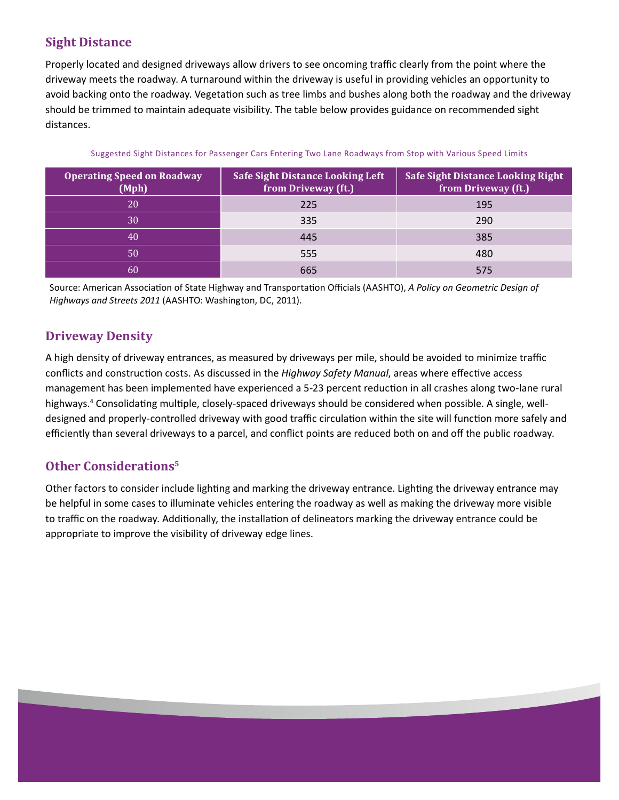## **Sight Distance**

Properly located and designed driveways allow drivers to see oncoming traffic clearly from the point where the driveway meets the roadway. A turnaround within the driveway is useful in providing vehicles an opportunity to avoid backing onto the roadway. Vegetation such as tree limbs and bushes along both the roadway and the driveway should be trimmed to maintain adequate visibility. The table below provides guidance on recommended sight distances.

| <b>Operating Speed on Roadway</b><br>(Mph) | <b>Safe Sight Distance Looking Left</b><br>from Driveway (ft.) | <b>Safe Sight Distance Looking Right</b><br>from Driveway (ft.) |
|--------------------------------------------|----------------------------------------------------------------|-----------------------------------------------------------------|
| 20                                         | 225                                                            | 195                                                             |
| 30                                         | 335                                                            | 290                                                             |
| 40                                         | 445                                                            | 385                                                             |
| '50                                        | 555                                                            | 480                                                             |
| 60                                         | 665                                                            | 575                                                             |

Suggested Sight Distances for Passenger Cars Entering Two Lane Roadways from Stop with Various Speed Limits

Source: American Association of State Highway and Transportation Officials (AASHTO), *A Policy on Geometric Design of Highways and Streets 2011* (AASHTO: Washington, DC, 2011).

## **Driveway Density**

A high density of driveway entrances, as measured by driveways per mile, should be avoided to minimize traffic conflicts and construction costs. As discussed in the *Highway Safety Manual*, areas where effective access management has been implemented have experienced a 5-23 percent reduction in all crashes along two-lane rural highways.<sup>4</sup> Consolidating multiple, closely-spaced driveways should be considered when possible. A single, welldesigned and properly-controlled driveway with good traffic circulation within the site will function more safely and efficiently than several driveways to a parcel, and conflict points are reduced both on and off the public roadway.

# **Other Considerations5**

Other factors to consider include lighting and marking the driveway entrance. Lighting the driveway entrance may be helpful in some cases to illuminate vehicles entering the roadway as well as making the driveway more visible to traffic on the roadway. Additionally, the installation of delineators marking the driveway entrance could be appropriate to improve the visibility of driveway edge lines.